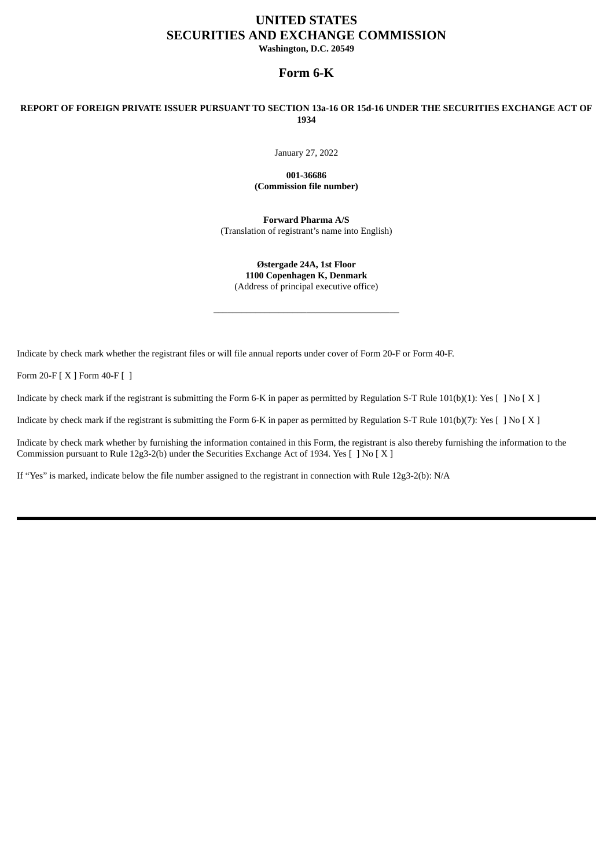# **UNITED STATES SECURITIES AND EXCHANGE COMMISSION Washington, D.C. 20549**

## **Form 6-K**

# REPORT OF FOREIGN PRIVATE ISSUER PURSUANT TO SECTION 13a-16 OR 15d-16 UNDER THE SECURITIES EXCHANGE ACT OF **1934**

January 27, 2022

**001-36686 (Commission file number)**

**Forward Pharma A/S** (Translation of registrant's name into English)

**Østergade 24A, 1st Floor 1100 Copenhagen K, Denmark** (Address of principal executive office)

\_\_\_\_\_\_\_\_\_\_\_\_\_\_\_\_\_\_\_\_\_\_\_\_\_\_\_\_\_\_\_\_\_\_\_\_\_\_\_\_

Indicate by check mark whether the registrant files or will file annual reports under cover of Form 20-F or Form 40-F.

Form 20-F [ X ] Form 40-F [ ]

Indicate by check mark if the registrant is submitting the Form 6-K in paper as permitted by Regulation S-T Rule 101(b)(1): Yes [ ] No [ X ]

Indicate by check mark if the registrant is submitting the Form 6-K in paper as permitted by Regulation S-T Rule 101(b)(7): Yes [ ] No [ X ]

Indicate by check mark whether by furnishing the information contained in this Form, the registrant is also thereby furnishing the information to the Commission pursuant to Rule 12g3-2(b) under the Securities Exchange Act of 1934. Yes [ ] No [ X ]

If "Yes" is marked, indicate below the file number assigned to the registrant in connection with Rule 12g3-2(b): N/A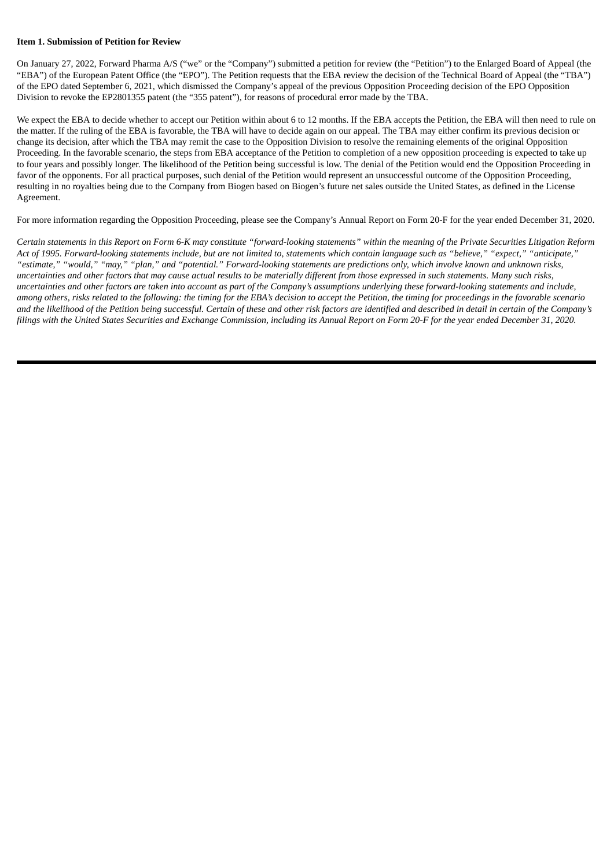#### **Item 1. Submission of Petition for Review**

On January 27, 2022, Forward Pharma A/S ("we" or the "Company") submitted a petition for review (the "Petition") to the Enlarged Board of Appeal (the "EBA") of the European Patent Office (the "EPO"). The Petition requests that the EBA review the decision of the Technical Board of Appeal (the "TBA") of the EPO dated September 6, 2021, which dismissed the Company's appeal of the previous Opposition Proceeding decision of the EPO Opposition Division to revoke the EP2801355 patent (the "355 patent"), for reasons of procedural error made by the TBA.

We expect the EBA to decide whether to accept our Petition within about 6 to 12 months. If the EBA accepts the Petition, the EBA will then need to rule on the matter. If the ruling of the EBA is favorable, the TBA will have to decide again on our appeal. The TBA may either confirm its previous decision or change its decision, after which the TBA may remit the case to the Opposition Division to resolve the remaining elements of the original Opposition Proceeding. In the favorable scenario, the steps from EBA acceptance of the Petition to completion of a new opposition proceeding is expected to take up to four years and possibly longer. The likelihood of the Petition being successful is low. The denial of the Petition would end the Opposition Proceeding in favor of the opponents. For all practical purposes, such denial of the Petition would represent an unsuccessful outcome of the Opposition Proceeding, resulting in no royalties being due to the Company from Biogen based on Biogen's future net sales outside the United States, as defined in the License Agreement.

For more information regarding the Opposition Proceeding, please see the Company's Annual Report on Form 20-F for the year ended December 31, 2020.

Certain statements in this Report on Form 6-K may constitute "forward-looking statements" within the meaning of the Private Securities Litigation Reform Act of 1995. Forward-looking statements include, but are not limited to, statements which contain language such as "believe," "expect," "anticipate," "estimate," "would," "may," "plan," and "potential." Forward-looking statements are predictions only, which involve known and unknown risks, uncertainties and other factors that may cause actual results to be materially different from those expressed in such statements. Many such risks, uncertainties and other factors are taken into account as part of the Company's assumptions underlying these forward-looking statements and include, among others, risks related to the following: the timing for the EBA's decision to accept the Petition, the timing for proceedings in the favorable scenario and the likelihood of the Petition being successful. Certain of these and other risk factors are identified and described in detail in certain of the Company's filings with the United States Securities and Exchange Commission, including its Annual Report on Form 20-F for the year ended December 31, 2020.